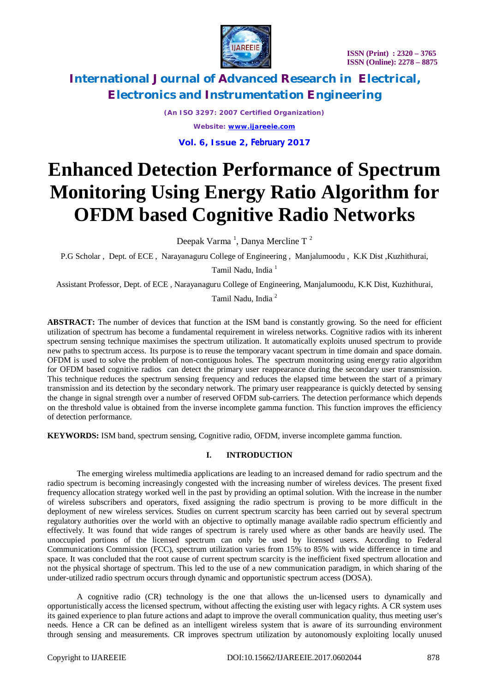



*(An ISO 3297: 2007 Certified Organization) Website: [www.ijareeie.com](http://www.ijareeie.com)* **Vol. 6, Issue 2, February 2017**

# **Enhanced Detection Performance of Spectrum Monitoring Using Energy Ratio Algorithm for OFDM based Cognitive Radio Networks**

Deepak Varma<sup>1</sup>, Danya Mercline T<sup>2</sup>

P.G Scholar, Dept. of ECE, Narayanaguru College of Engineering, Manjalumoodu, K.K Dist, Kuzhithurai,

Tamil Nadu, India<sup>1</sup>

Assistant Professor, Dept. of ECE , Narayanaguru College of Engineering, Manjalumoodu, K.K Dist, Kuzhithurai,

Tamil Nadu, India <sup>2</sup>

**ABSTRACT:** The number of devices that function at the ISM band is constantly growing. So the need for efficient utilization of spectrum has become a fundamental requirement in wireless networks. Cognitive radios with its inherent spectrum sensing technique maximises the spectrum utilization. It automatically exploits unused spectrum to provide new paths to spectrum access. Its purpose is to reuse the temporary vacant spectrum in time domain and space domain. OFDM is used to solve the problem of non-contiguous holes. The spectrum monitoring using energy ratio algorithm for OFDM based cognitive radios can detect the primary user reappearance during the secondary user transmission. This technique reduces the spectrum sensing frequency and reduces the elapsed time between the start of a primary transmission and its detection by the secondary network. The primary user reappearance is quickly detected by sensing the change in signal strength over a number of reserved OFDM sub-carriers. The detection performance which depends on the threshold value is obtained from the inverse incomplete gamma function. This function improves the efficiency of detection performance.

**KEYWORDS:** ISM band, spectrum sensing, Cognitive radio, OFDM, inverse incomplete gamma function.

### **I. INTRODUCTION**

The emerging wireless multimedia applications are leading to an increased demand for radio spectrum and the radio spectrum is becoming increasingly congested with the increasing number of wireless devices. The present fixed frequency allocation strategy worked well in the past by providing an optimal solution. With the increase in the number of wireless subscribers and operators, fixed assigning the radio spectrum is proving to be more difficult in the deployment of new wireless services. Studies on current spectrum scarcity has been carried out by several spectrum regulatory authorities over the world with an objective to optimally manage available radio spectrum efficiently and effectively. It was found that wide ranges of spectrum is rarely used where as other bands are heavily used. The unoccupied portions of the licensed spectrum can only be used by licensed users. According to Federal Communications Commission (FCC), spectrum utilization varies from 15% to 85% with wide difference in time and space. It was concluded that the root cause of current spectrum scarcity is the inefficient fixed spectrum allocation and not the physical shortage of spectrum. This led to the use of a new communication paradigm, in which sharing of the under-utilized radio spectrum occurs through dynamic and opportunistic spectrum access (DOSA).

A cognitive radio (CR) technology is the one that allows the un-licensed users to dynamically and opportunistically access the licensed spectrum, without affecting the existing user with legacy rights. A CR system uses its gained experience to plan future actions and adapt to improve the overall communication quality, thus meeting user's needs. Hence a CR can be defined as an intelligent wireless system that is aware of its surrounding environment through sensing and measurements. CR improves spectrum utilization by autonomously exploiting locally unused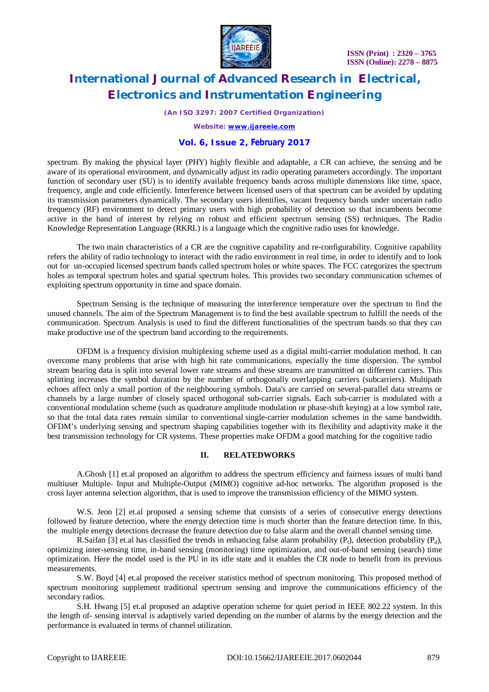

*(An ISO 3297: 2007 Certified Organization)*

*Website: [www.ijareeie.com](http://www.ijareeie.com)*

#### **Vol. 6, Issue 2, February 2017**

spectrum. By making the physical layer (PHY) highly flexible and adaptable, a CR can achieve, the sensing and be aware of its operational environment, and dynamically adjust its radio operating parameters accordingly. The important function of secondary user (SU) is to identify available frequency bands across multiple dimensions like time, space, frequency, angle and code efficiently. Interference between licensed users of that spectrum can be avoided by updating its transmission parameters dynamically. The secondary users identifies, vacant frequency bands under uncertain radio frequency (RF) environment to detect primary users with high probability of detection so that incumbents become active in the band of interest by relying on robust and efficient spectrum sensing (SS) techniques. The Radio Knowledge Representation Language (RKRL) is a language which the cognitive radio uses for knowledge.

The two main characteristics of a CR are the cognitive capability and re-configurability. Cognitive capability refers the ability of radio technology to interact with the radio environment in real time, in order to identify and to look out for un-occupied licensed spectrum bands called spectrum holes or white spaces. The FCC categorizes the spectrum holes as temporal spectrum holes and spatial spectrum holes. This provides two secondary communication schemes of exploiting spectrum opportunity in time and space domain.

Spectrum Sensing is the technique of measuring the interference temperature over the spectrum to find the unused channels. The aim of the Spectrum Management is to find the best available spectrum to fulfill the needs of the communication. Spectrum Analysis is used to find the different functionalities of the spectrum bands so that they can make productive use of the spectrum band according to the requirements.

OFDM is a frequency division multiplexing scheme used as a digital multi-carrier modulation method. It can overcome many problems that arise with high bit rate communications, especially the time dispersion. The symbol stream bearing data is split into several lower rate streams and these streams are transmitted on different carriers. This splitting increases the symbol duration by the number of orthogonally overlapping carriers (subcarriers). Multipath echoes affect only a small portion of the neighbouring symbols. Data's are carried on several-parallel data streams or channels by a large number of closely spaced orthogonal sub-carrier signals. Each sub-carrier is modulated with a conventional modulation scheme (such as quadrature amplitude modulation or phase-shift keying) at a low symbol rate, so that the total data rates remain similar to conventional single-carrier modulation schemes in the same bandwidth. OFDM's underlying sensing and spectrum shaping capabilities together with its flexibility and adaptivity make it the best transmission technology for CR systems. These properties make OFDM a good matching for the cognitive radio

### **II. RELATEDWORKS**

A.Ghosh [1] et.al proposed an algorithm to address the spectrum efficiency and fairness issues of multi band multiuser Multiple- Input and Multiple-Output (MIMO) cognitive ad-hoc networks. The algorithm proposed is the cross layer antenna selection algorithm, that is used to improve the transmission efficiency of the MIMO system.

W.S. Jeon [2] et.al proposed a sensing scheme that consists of a series of consecutive energy detections followed by feature detection, where the energy detection time is much shorter than the feature detection time. In this, the multiple energy detections decrease the feature detection due to false alarm and the overall channel sensing time.

R. Saifan [3] et.al has classified the trends in enhancing false alarm probability  $(P_f)$ , detection probability  $(P_d)$ , optimizing inter-sensing time, in-band sensing (monitoring) time optimization, and out-of-band sensing (search) time optimization. Here the model used is the PU in its idle state and it enables the CR node to benefit from its previous measurements.

S.W. Boyd [4] et.al proposed the receiver statistics method of spectrum monitoring. This proposed method of spectrum monitoring supplement traditional spectrum sensing and improve the communications efficiency of the secondary radios.

S.H. Hwang [5] et.al proposed an adaptive operation scheme for quiet period in IEEE 802.22 system. In this the length of- sensing interval is adaptively varied depending on the number of alarms by the energy detection and the performance is evaluated in terms of channel utilization.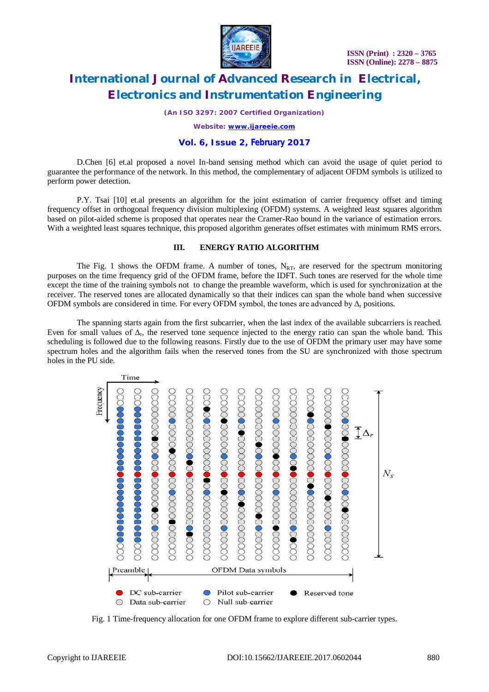

*(An ISO 3297: 2007 Certified Organization)*

*Website: [www.ijareeie.com](http://www.ijareeie.com)*

#### **Vol. 6, Issue 2, February 2017**

D.Chen [6] et.al proposed a novel In-band sensing method which can avoid the usage of quiet period to guarantee the performance of the network. In this method, the complementary of adjacent OFDM symbols is utilized to perform power detection.

P.Y. Tsai [10] et.al presents an algorithm for the joint estimation of carrier frequency offset and timing frequency offset in orthogonal frequency division multiplexing (OFDM) systems. A weighted least squares algorithm based on pilot-aided scheme is proposed that operates near the Cramer-Rao bound in the variance of estimation errors. With a weighted least squares technique, this proposed algorithm generates offset estimates with minimum RMS errors.

### **III. ENERGY RATIO ALGORITHM**

The Fig. 1 shows the OFDM frame. A number of tones,  $N_{RT}$ , are reserved for the spectrum monitoring purposes on the time frequency grid of the OFDM frame, before the IDFT. Such tones are reserved for the whole time except the time of the training symbols not to change the preamble waveform, which is used for synchronization at the receiver. The reserved tones are allocated dynamically so that their indices can span the whole band when successive OFDM symbols are considered in time. For every OFDM symbol, the tones are advanced by  $\Delta_r$  positions.

The spanning starts again from the first subcarrier, when the last index of the available subcarriers is reached. Even for small values of  $\Delta_r$ , the reserved tone sequence injected to the energy ratio can span the whole band. This scheduling is followed due to the following reasons. Firstly due to the use of OFDM the primary user may have some spectrum holes and the algorithm fails when the reserved tones from the SU are synchronized with those spectrum holes in the PU side.



Fig. 1 Time-frequency allocation for one OFDM frame to explore different sub-carrier types.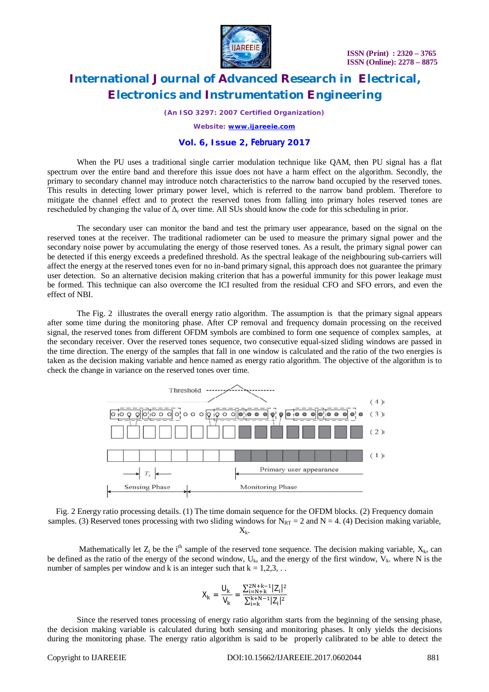

*(An ISO 3297: 2007 Certified Organization)*

*Website: [www.ijareeie.com](http://www.ijareeie.com)*

#### **Vol. 6, Issue 2, February 2017**

When the PU uses a traditional single carrier modulation technique like QAM, then PU signal has a flat spectrum over the entire band and therefore this issue does not have a harm effect on the algorithm. Secondly, the primary to secondary channel may introduce notch characteristics to the narrow band occupied by the reserved tones. This results in detecting lower primary power level, which is referred to the narrow band problem. Therefore to mitigate the channel effect and to protect the reserved tones from falling into primary holes reserved tones are rescheduled by changing the value of  $\Delta_{r}$  over time. All SUs should know the code for this scheduling in prior.

The secondary user can monitor the band and test the primary user appearance, based on the signal on the reserved tones at the receiver. The traditional radiometer can be used to measure the primary signal power and the secondary noise power by accumulating the energy of those reserved tones. As a result, the primary signal power can be detected if this energy exceeds a predefined threshold. As the spectral leakage of the neighbouring sub-carriers will affect the energy at the reserved tones even for no in-band primary signal, this approach does not guarantee the primary user detection. So an alternative decision making criterion that has a powerful immunity for this power leakage must be formed. This technique can also overcome the ICI resulted from the residual CFO and SFO errors, and even the effect of NBI.

The Fig. 2 illustrates the overall energy ratio algorithm. The assumption is that the primary signal appears after some time during the monitoring phase. After CP removal and frequency domain processing on the received signal, the reserved tones from different OFDM symbols are combined to form one sequence of complex samples, at the secondary receiver. Over the reserved tones sequence, two consecutive equal-sized sliding windows are passed in the time direction. The energy of the samples that fall in one window is calculated and the ratio of the two energies is taken as the decision making variable and hence named as energy ratio algorithm. The objective of the algorithm is to check the change in variance on the reserved tones over time.



Fig. 2 Energy ratio processing details. (1) The time domain sequence for the OFDM blocks. (2) Frequency domain samples. (3) Reserved tones processing with two sliding windows for  $N_{RT} = 2$  and  $N = 4$ . (4) Decision making variable,  $X_k$ .

Mathematically let  $Z_i$  be the i<sup>th</sup> sample of the reserved tone sequence. The decision making variable,  $X_k$ , can be defined as the ratio of the energy of the second window,  $U_k$ , and the energy of the first window,  $V_k$ . where N is the number of samples per window and k is an integer such that  $k = 1,2,3, \ldots$ 

$$
\boldsymbol{X}_k = \frac{\boldsymbol{U}_k}{\boldsymbol{V}_k} = \frac{\sum_{i=N+k}^{2N+k-1}|\boldsymbol{Z}_i|^2}{\sum_{i=k}^{k+N-1}|\boldsymbol{Z}_i|^2}
$$

Since the reserved tones processing of energy ratio algorithm starts from the beginning of the sensing phase, the decision making variable is calculated during both sensing and monitoring phases. It only yields the decisions during the monitoring phase. The energy ratio algorithm is said to be properly calibrated to be able to detect the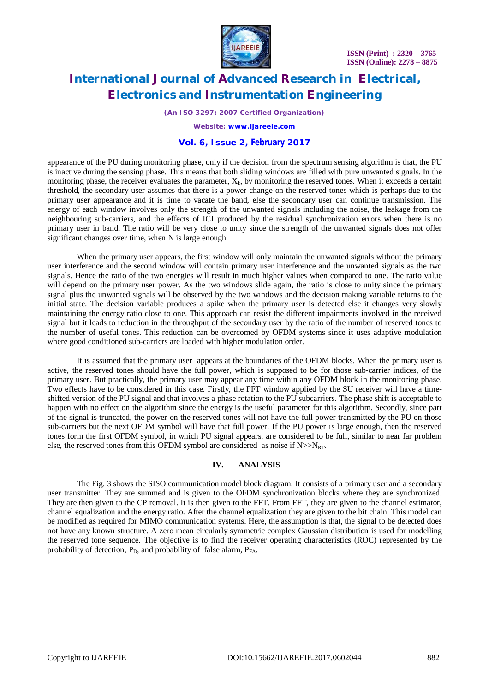

*(An ISO 3297: 2007 Certified Organization)*

*Website: [www.ijareeie.com](http://www.ijareeie.com)*

#### **Vol. 6, Issue 2, February 2017**

appearance of the PU during monitoring phase, only if the decision from the spectrum sensing algorithm is that, the PU is inactive during the sensing phase. This means that both sliding windows are filled with pure unwanted signals. In the monitoring phase, the receiver evaluates the parameter,  $X_k$ , by monitoring the reserved tones. When it exceeds a certain threshold, the secondary user assumes that there is a power change on the reserved tones which is perhaps due to the primary user appearance and it is time to vacate the band, else the secondary user can continue transmission. The energy of each window involves only the strength of the unwanted signals including the noise, the leakage from the neighbouring sub-carriers, and the effects of ICI produced by the residual synchronization errors when there is no primary user in band. The ratio will be very close to unity since the strength of the unwanted signals does not offer significant changes over time, when N is large enough.

When the primary user appears, the first window will only maintain the unwanted signals without the primary user interference and the second window will contain primary user interference and the unwanted signals as the two signals. Hence the ratio of the two energies will result in much higher values when compared to one. The ratio value will depend on the primary user power. As the two windows slide again, the ratio is close to unity since the primary signal plus the unwanted signals will be observed by the two windows and the decision making variable returns to the initial state. The decision variable produces a spike when the primary user is detected else it changes very slowly maintaining the energy ratio close to one. This approach can resist the different impairments involved in the received signal but it leads to reduction in the throughput of the secondary user by the ratio of the number of reserved tones to the number of useful tones. This reduction can be overcomed by OFDM systems since it uses adaptive modulation where good conditioned sub-carriers are loaded with higher modulation order.

It is assumed that the primary user appears at the boundaries of the OFDM blocks. When the primary user is active, the reserved tones should have the full power, which is supposed to be for those sub-carrier indices, of the primary user. But practically, the primary user may appear any time within any OFDM block in the monitoring phase. Two effects have to be considered in this case. Firstly, the FFT window applied by the SU receiver will have a timeshifted version of the PU signal and that involves a phase rotation to the PU subcarriers. The phase shift is acceptable to happen with no effect on the algorithm since the energy is the useful parameter for this algorithm. Secondly, since part of the signal is truncated, the power on the reserved tones will not have the full power transmitted by the PU on those sub-carriers but the next OFDM symbol will have that full power. If the PU power is large enough, then the reserved tones form the first OFDM symbol, in which PU signal appears, are considered to be full, similar to near far problem else, the reserved tones from this OFDM symbol are considered as noise if  $N>>N_{RT}$ .

#### **IV. ANALYSIS**

The Fig. 3 shows the SISO communication model block diagram. It consists of a primary user and a secondary user transmitter. They are summed and is given to the OFDM synchronization blocks where they are synchronized. They are then given to the CP removal. It is then given to the FFT. From FFT, they are given to the channel estimator, channel equalization and the energy ratio. After the channel equalization they are given to the bit chain. This model can be modified as required for MIMO communication systems. Here, the assumption is that, the signal to be detected does not have any known structure. A zero mean circularly symmetric complex Gaussian distribution is used for modelling the reserved tone sequence. The objective is to find the receiver operating characteristics (ROC) represented by the probability of detection,  $P_D$ , and probability of false alarm,  $P_{FA}$ .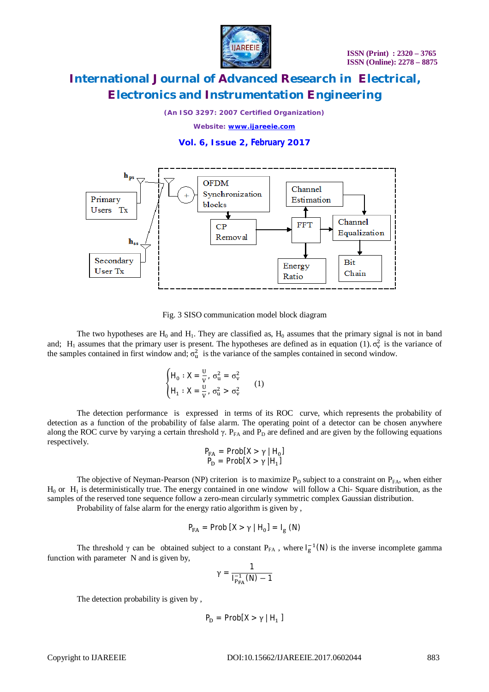

*(An ISO 3297: 2007 Certified Organization)*

*Website: [www.ijareeie.com](http://www.ijareeie.com)*

#### **Vol. 6, Issue 2, February 2017**



Fig. 3 SISO communication model block diagram

The two hypotheses are  $H_0$  and  $H_1$ . They are classified as,  $H_0$  assumes that the primary signal is not in band and; H<sub>1</sub> assumes that the primary user is present. The hypotheses are defined as in equation (1).  $\sigma_v^2$  is the variance of the samples contained in first window and;  $\sigma_u^2$  is the variance of the samples contained in second window.

$$
\begin{cases} H_0: X = \frac{U}{V}, \sigma_u^2 = \sigma_v^2 \\ H_1: X = \frac{U}{V}, \sigma_u^2 > \sigma_v^2 \end{cases} (1)
$$

The detection performance is expressed in terms of its ROC curve, which represents the probability of detection as a function of the probability of false alarm. The operating point of a detector can be chosen anywhere along the ROC curve by varying a certain threshold  $\gamma$ . P<sub>FA</sub> and P<sub>D</sub> are defined and are given by the following equations respectively.

$$
P_{FA} = Prob[X > \gamma | H_0]
$$
  

$$
P_D = Prob[X > \gamma | H_1]
$$

The objective of Neyman-Pearson (NP) criterion is to maximize  $P_D$  subject to a constraint on  $P_{FA}$ , when either  $H_0$  or  $H_1$  is deterministically true. The energy contained in one window will follow a Chi- Square distribution, as the samples of the reserved tone sequence follow a zero-mean circularly symmetric complex Gaussian distribution.

Probability of false alarm for the energy ratio algorithm is given by ,

$$
P_{FA} = Prob[X > \gamma | H_0] = I_g(N)
$$

The threshold  $\gamma$  can be obtained subject to a constant P<sub>FA</sub>, where  $I_g^{-1}(N)$  is the inverse incomplete gamma function with parameter N and is given by,

$$
\gamma = \frac{1}{I_{P_{FA}}^{-1}(N) - 1}
$$

The detection probability is given by ,

$$
P_D = Prob[X > \gamma | H_1]
$$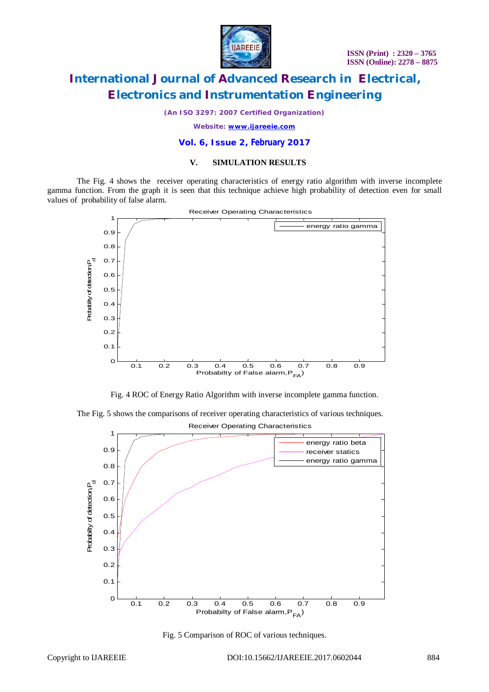

*(An ISO 3297: 2007 Certified Organization)*

*Website: [www.ijareeie.com](http://www.ijareeie.com)*

#### **Vol. 6, Issue 2, February 2017**

#### **V. SIMULATION RESULTS**

The Fig. 4 shows the receiver operating characteristics of energy ratio algorithm with inverse incomplete gamma function. From the graph it is seen that this technique achieve high probability of detection even for small values of probability of false alarm.





The Fig. 5 shows the comparisons of receiver operating characteristics of various techniques. Receiver Operating Characteristics



Fig. 5 Comparison of ROC of various techniques.